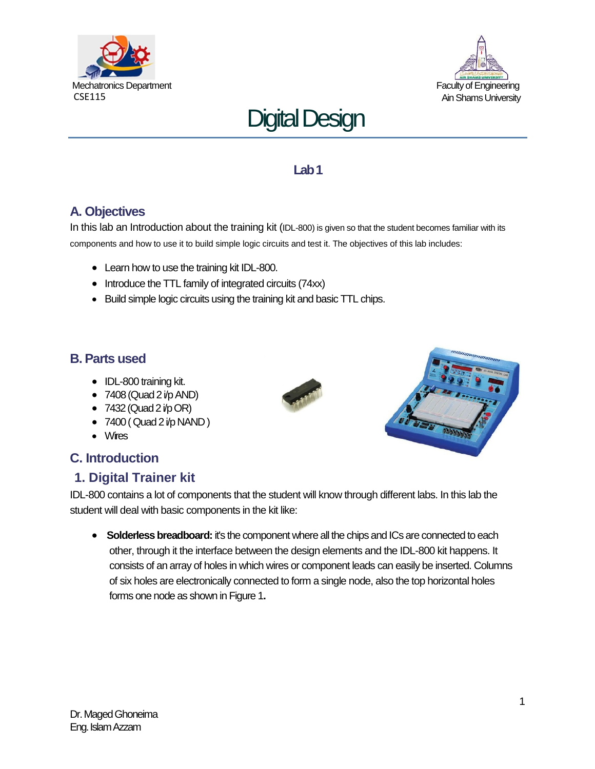





## **Lab 1**

# **A. Objectives**

In this lab an Introduction about the training kit (IDL-800) is given so that the student becomes familiar with its components and how to use it to build simple logic circuits and test it. The objectives of this lab includes:

- Learn how to use the training kit IDL-800.
- Introduce the TTL family of integrated circuits (74xx)
- Build simple logic circuits using the training kit and basic TTL chips.

## **B. Parts used**

- IDL-800 training kit.
- $\bullet$  7408 (Quad 2 i/p AND)
- $\bullet$  7432 (Quad 2 i/p OR)
- $\bullet$  7400 ( Quad 2 i/p NAND )
- Wires

# **C. Introduction**

# **1. Digital Trainer kit**

IDL-800 contains a lot of components that the student will know through different labs. In this lab the student will deal with basic components in the kit like:

**Solderless breadboard:** it's the component where all the chips and ICs are connected to each other, through it the interface between the design elements and the IDL-800 kit happens. It consists of an array of holes in which wires or component leads can easily be inserted. Columns of six holes are electronically connected to form a single node, also the top horizontal holes forms one node as shown in Figure 1**.** 

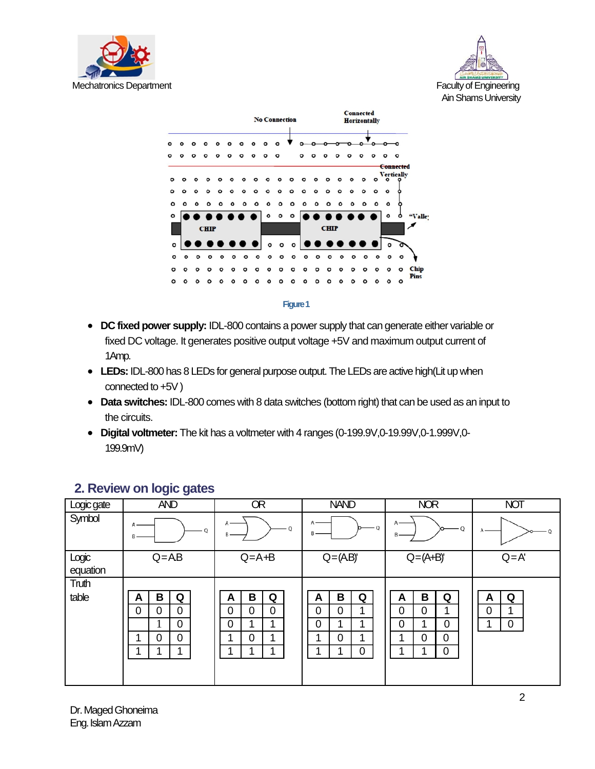





### **Figure 1**

- **DC fixed power supply:** IDL-800 contains a power supply that can generate either variable or fixed DC voltage. It generates positive output voltage +5V and maximum output current of 1Amp.
- **LEDs:**IDL-800 has 8 LEDs for general purpose output. The LEDs are active high(Lit up when connected to +5V )
- **Data switches:** IDL-800 comes with 8 data switches (bottom right) that can be used as an input to the circuits.
- **Digital voltmeter:** The kit has a voltmeter with 4 ranges (0-199.9V,0-19.99V,0-1.999V,0- 199.9mV)

| Logic gate        | <b>AND</b>                                                                                              | <b>OR</b>                                                             | <b>NAND</b>                                                   | <b>NOR</b>                                                                           | <b>NOT</b>                         |
|-------------------|---------------------------------------------------------------------------------------------------------|-----------------------------------------------------------------------|---------------------------------------------------------------|--------------------------------------------------------------------------------------|------------------------------------|
| Symbol            | А<br>0<br>B                                                                                             | A<br>- 0<br>В                                                         | Α<br>- 0<br>в-                                                | $A -$<br>$\circ$                                                                     |                                    |
| Logic<br>equation | $Q = AB$                                                                                                | $Q = A + B$                                                           | $Q = (AB)'$                                                   | $Q = (A+B)'$                                                                         | $Q = A'$                           |
| Truth<br>table    | B<br>Q<br>A<br>$\overline{0}$<br>$\overline{0}$<br>$\overline{0}$<br>0<br>$\overline{0}$<br>$\mathbf 0$ | B<br>Q<br>А<br>$\mathbf 0$<br>0<br>$\overline{0}$<br>0<br>0<br>◢<br>4 | B<br>Q<br>A<br>0<br>0<br>4<br>0<br>$\mathbf 0$<br>и<br>и<br>0 | B<br>Q<br>A<br>0<br>0<br>1<br>0<br>0<br>0<br>$\mathbf 0$<br>ø<br>$\overline{0}$<br>1 | Q<br>A<br>$\overline{0}$<br>1<br>0 |

## **2. Review on logic gates**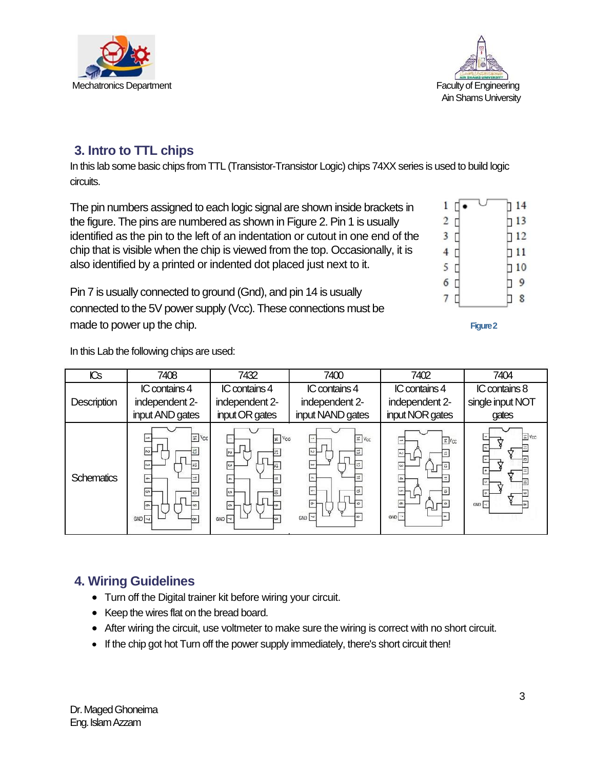3

| <b>ICs</b>         | 7408                                                                                                                                         | 7432                                                                                                                    | 7400                                                                        | 7402                                               | 7404                                       |
|--------------------|----------------------------------------------------------------------------------------------------------------------------------------------|-------------------------------------------------------------------------------------------------------------------------|-----------------------------------------------------------------------------|----------------------------------------------------|--------------------------------------------|
| <b>Description</b> | IC contains 4<br>independent 2-<br>input AND gates                                                                                           | IC contains 4<br>independent 2-<br>input OR gates                                                                       | IC contains 4<br>independent 2-<br>input NAND gates                         | IC contains 4<br>independent 2-<br>input NOR gates | IC contains 8<br>single input NOT<br>gates |
| <b>Schematics</b>  | $\pm$ Vcc<br>$\overline{a}$<br>$\sim$<br><b>ca</b><br>12<br>$\equiv$<br>$\leftarrow$<br>$\sqrt{25}$<br>$\ddot{\circ}$<br>$\overline{5}$<br>õ | # Vcc<br>$\rightarrow$<br>$\sqrt{2}$<br>$\dot{\omega}$<br>芯<br>$\leftarrow$<br>$\boxed{\circ}$<br>Ä<br>$\sqrt{2}$<br>co | $\approx$ $V_{CC}$<br>$\longrightarrow$<br>$\sim$<br>$\mathbf{u}$<br>$\sim$ | <b>EVCC</b><br>卡<br>l cm                           | = Vcc<br>GND                               |

# **3. Intro to TTL chips**

In this lab some basic chips from TTL (Transistor-Transistor Logic) chips 74XX series is used to build logic circuits.

The pin numbers assigned to each logic signal are shown inside brackets in the figure. The pins are numbered as shown in Figure 2. Pin 1 is usually identified as the pin to the left of an indentation or cutout in one end of the chip that is visible when the chip is viewed from the top. Occasionally, it is also identified by a printed or indented dot placed just next to it.

Pin 7 is usually connected to ground (Gnd), and pin 14 is usually connected to the 5V power supply (Vcc). These connections must be made to power up the chip. **Figure 2 Figure 2 Figure 2** 

In this Lab the following chips are used:



- Turn off the Digital trainer kit before wiring your circuit.
- Keep the wires flat on the bread board.
- After wiring the circuit, use voltmeter to make sure the wiring is correct with no short circuit.
- If the chip got hot Turn off the power supply immediately, there's short circuit then!

| <b>Mechatronics Department</b> |
|--------------------------------|



| $\mathbf{1}$ | О | 714       |
|--------------|---|-----------|
| 2            | П | 13        |
| 3            | 0 | 112       |
| 4            | 0 | $\Box$ 11 |
| 5            | 0 | 10        |
| 6            | 0 | 9         |
|              |   | 8         |